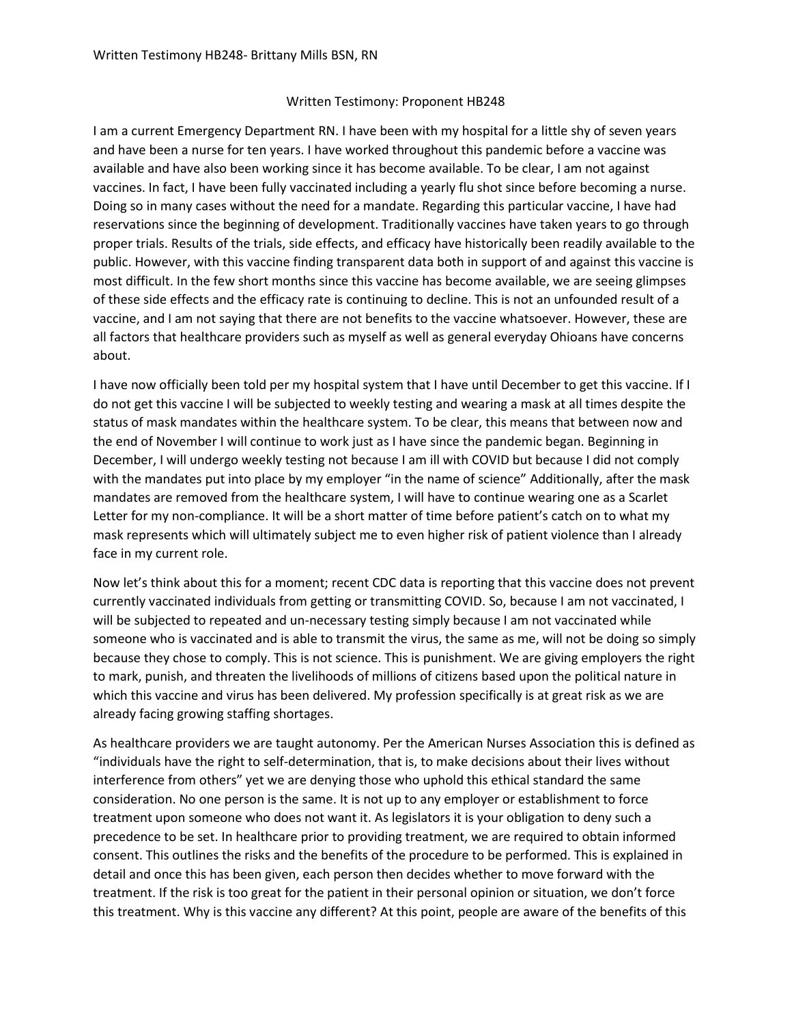## Written Testimony: Proponent HB248

I am a current Emergency Department RN. I have been with my hospital for a little shy of seven years and have been a nurse for ten years. I have worked throughout this pandemic before a vaccine was available and have also been working since it has become available. To be clear, I am not against vaccines. In fact, I have been fully vaccinated including a yearly flu shot since before becoming a nurse. Doing so in many cases without the need for a mandate. Regarding this particular vaccine, I have had reservations since the beginning of development. Traditionally vaccines have taken years to go through proper trials. Results of the trials, side effects, and efficacy have historically been readily available to the public. However, with this vaccine finding transparent data both in support of and against this vaccine is most difficult. In the few short months since this vaccine has become available, we are seeing glimpses of these side effects and the efficacy rate is continuing to decline. This is not an unfounded result of a vaccine, and I am not saying that there are not benefits to the vaccine whatsoever. However, these are all factors that healthcare providers such as myself as well as general everyday Ohioans have concerns about.

I have now officially been told per my hospital system that I have until December to get this vaccine. If I do not get this vaccine I will be subjected to weekly testing and wearing a mask at all times despite the status of mask mandates within the healthcare system. To be clear, this means that between now and the end of November I will continue to work just as I have since the pandemic began. Beginning in December, I will undergo weekly testing not because I am ill with COVID but because I did not comply with the mandates put into place by my employer "in the name of science" Additionally, after the mask mandates are removed from the healthcare system, I will have to continue wearing one as a Scarlet Letter for my non-compliance. It will be a short matter of time before patient's catch on to what my mask represents which will ultimately subject me to even higher risk of patient violence than I already face in my current role.

Now let's think about this for a moment; recent CDC data is reporting that this vaccine does not prevent currently vaccinated individuals from getting or transmitting COVID. So, because I am not vaccinated, I will be subjected to repeated and un-necessary testing simply because I am not vaccinated while someone who is vaccinated and is able to transmit the virus, the same as me, will not be doing so simply because they chose to comply. This is not science. This is punishment. We are giving employers the right to mark, punish, and threaten the livelihoods of millions of citizens based upon the political nature in which this vaccine and virus has been delivered. My profession specifically is at great risk as we are already facing growing staffing shortages.

As healthcare providers we are taught autonomy. Per the American Nurses Association this is defined as "individuals have the right to self-determination, that is, to make decisions about their lives without interference from others" yet we are denying those who uphold this ethical standard the same consideration. No one person is the same. It is not up to any employer or establishment to force treatment upon someone who does not want it. As legislators it is your obligation to deny such a precedence to be set. In healthcare prior to providing treatment, we are required to obtain informed consent. This outlines the risks and the benefits of the procedure to be performed. This is explained in detail and once this has been given, each person then decides whether to move forward with the treatment. If the risk is too great for the patient in their personal opinion or situation, we don't force this treatment. Why is this vaccine any different? At this point, people are aware of the benefits of this